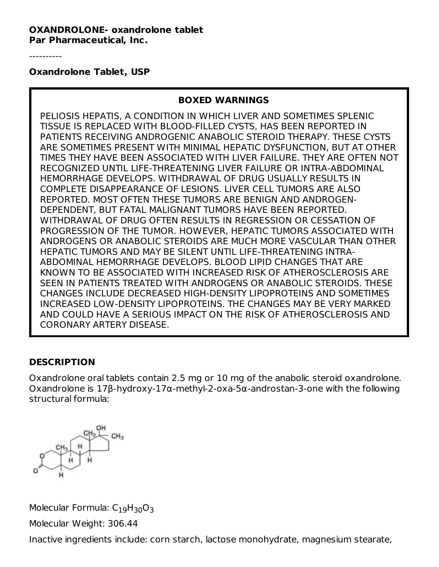#### **OXANDROLONE- oxandrolone tablet Par Pharmaceutical, Inc.**

----------

#### **Oxandrolone Tablet, USP**

#### **BOXED WARNINGS**

PELIOSIS HEPATIS, A CONDITION IN WHICH LIVER AND SOMETIMES SPLENIC TISSUE IS REPLACED WITH BLOOD-FILLED CYSTS, HAS BEEN REPORTED IN PATIENTS RECEIVING ANDROGENIC ANABOLIC STEROID THERAPY. THESE CYSTS ARE SOMETIMES PRESENT WITH MINIMAL HEPATIC DYSFUNCTION, BUT AT OTHER TIMES THEY HAVE BEEN ASSOCIATED WITH LIVER FAILURE. THEY ARE OFTEN NOT RECOGNIZED UNTIL LIFE-THREATENING LIVER FAILURE OR INTRA-ABDOMINAL HEMORRHAGE DEVELOPS. WITHDRAWAL OF DRUG USUALLY RESULTS IN COMPLETE DISAPPEARANCE OF LESIONS. LIVER CELL TUMORS ARE ALSO REPORTED. MOST OFTEN THESE TUMORS ARE BENIGN AND ANDROGEN-DEPENDENT, BUT FATAL MALIGNANT TUMORS HAVE BEEN REPORTED. WITHDRAWAL OF DRUG OFTEN RESULTS IN REGRESSION OR CESSATION OF PROGRESSION OF THE TUMOR. HOWEVER, HEPATIC TUMORS ASSOCIATED WITH ANDROGENS OR ANABOLIC STEROIDS ARE MUCH MORE VASCULAR THAN OTHER HEPATIC TUMORS AND MAY BE SILENT UNTIL LIFE-THREATENING INTRA-ABDOMINAL HEMORRHAGE DEVELOPS. BLOOD LIPID CHANGES THAT ARE KNOWN TO BE ASSOCIATED WITH INCREASED RISK OF ATHEROSCLEROSIS ARE SEEN IN PATIENTS TREATED WITH ANDROGENS OR ANABOLIC STEROIDS. THESE CHANGES INCLUDE DECREASED HIGH-DENSITY LIPOPROTEINS AND SOMETIMES INCREASED LOW-DENSITY LIPOPROTEINS. THE CHANGES MAY BE VERY MARKED AND COULD HAVE A SERIOUS IMPACT ON THE RISK OF ATHEROSCLEROSIS AND CORONARY ARTERY DISEASE.

#### **DESCRIPTION**

Oxandrolone oral tablets contain 2.5 mg or 10 mg of the anabolic steroid oxandrolone. Oxandrolone is 17β-hydroxy-17α-methyl-2-oxa-5α-androstan-3-one with the following structural formula:



Molecular Formula:  $\mathsf{C}_{19}\mathsf{H}_{30}\mathsf{O}_{3}$ 

Molecular Weight: 306.44

Inactive ingredients include: corn starch, lactose monohydrate, magnesium stearate,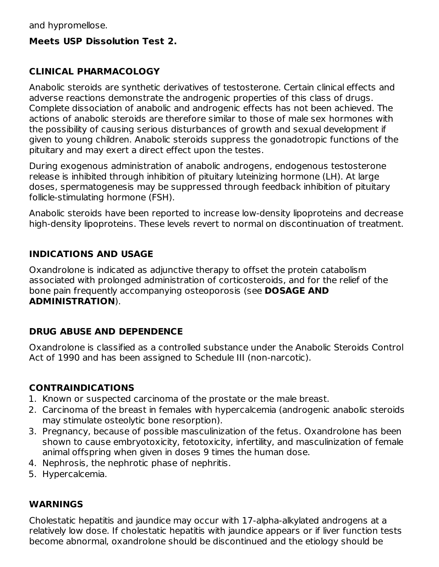#### **Meets USP Dissolution Test 2.**

#### **CLINICAL PHARMACOLOGY**

Anabolic steroids are synthetic derivatives of testosterone. Certain clinical effects and adverse reactions demonstrate the androgenic properties of this class of drugs. Complete dissociation of anabolic and androgenic effects has not been achieved. The actions of anabolic steroids are therefore similar to those of male sex hormones with the possibility of causing serious disturbances of growth and sexual development if given to young children. Anabolic steroids suppress the gonadotropic functions of the pituitary and may exert a direct effect upon the testes.

During exogenous administration of anabolic androgens, endogenous testosterone release is inhibited through inhibition of pituitary luteinizing hormone (LH). At large doses, spermatogenesis may be suppressed through feedback inhibition of pituitary follicle-stimulating hormone (FSH).

Anabolic steroids have been reported to increase low-density lipoproteins and decrease high-density lipoproteins. These levels revert to normal on discontinuation of treatment.

### **INDICATIONS AND USAGE**

Oxandrolone is indicated as adjunctive therapy to offset the protein catabolism associated with prolonged administration of corticosteroids, and for the relief of the bone pain frequently accompanying osteoporosis (see **DOSAGE AND ADMINISTRATION**).

## **DRUG ABUSE AND DEPENDENCE**

Oxandrolone is classified as a controlled substance under the Anabolic Steroids Control Act of 1990 and has been assigned to Schedule III (non-narcotic).

## **CONTRAINDICATIONS**

- 1. Known or suspected carcinoma of the prostate or the male breast.
- 2. Carcinoma of the breast in females with hypercalcemia (androgenic anabolic steroids may stimulate osteolytic bone resorption).
- 3. Pregnancy, because of possible masculinization of the fetus. Oxandrolone has been shown to cause embryotoxicity, fetotoxicity, infertility, and masculinization of female animal offspring when given in doses 9 times the human dose.
- 4. Nephrosis, the nephrotic phase of nephritis.
- 5. Hypercalcemia.

#### **WARNINGS**

Cholestatic hepatitis and jaundice may occur with 17-alpha-alkylated androgens at a relatively low dose. If cholestatic hepatitis with jaundice appears or if liver function tests become abnormal, oxandrolone should be discontinued and the etiology should be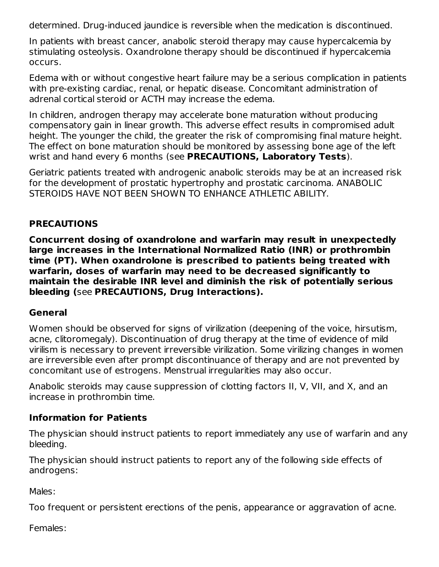determined. Drug-induced jaundice is reversible when the medication is discontinued.

In patients with breast cancer, anabolic steroid therapy may cause hypercalcemia by stimulating osteolysis. Oxandrolone therapy should be discontinued if hypercalcemia occurs.

Edema with or without congestive heart failure may be a serious complication in patients with pre-existing cardiac, renal, or hepatic disease. Concomitant administration of adrenal cortical steroid or ACTH may increase the edema.

In children, androgen therapy may accelerate bone maturation without producing compensatory gain in linear growth. This adverse effect results in compromised adult height. The younger the child, the greater the risk of compromising final mature height. The effect on bone maturation should be monitored by assessing bone age of the left wrist and hand every 6 months (see **PRECAUTIONS, Laboratory Tests**).

Geriatric patients treated with androgenic anabolic steroids may be at an increased risk for the development of prostatic hypertrophy and prostatic carcinoma. ANABOLIC STEROIDS HAVE NOT BEEN SHOWN TO ENHANCE ATHLETIC ABILITY.

#### **PRECAUTIONS**

**Concurrent dosing of oxandrolone and warfarin may result in unexpectedly large increases in the International Normalized Ratio (INR) or prothrombin time (PT). When oxandrolone is prescribed to patients being treated with warfarin, doses of warfarin may need to be decreased significantly to maintain the desirable INR level and diminish the risk of potentially serious bleeding (**see **PRECAUTIONS, Drug Interactions).**

#### **General**

Women should be observed for signs of virilization (deepening of the voice, hirsutism, acne, clitoromegaly). Discontinuation of drug therapy at the time of evidence of mild virilism is necessary to prevent irreversible virilization. Some virilizing changes in women are irreversible even after prompt discontinuance of therapy and are not prevented by concomitant use of estrogens. Menstrual irregularities may also occur.

Anabolic steroids may cause suppression of clotting factors II, V, VII, and X, and an increase in prothrombin time.

#### **Information for Patients**

The physician should instruct patients to report immediately any use of warfarin and any bleeding.

The physician should instruct patients to report any of the following side effects of androgens:

Males:

Too frequent or persistent erections of the penis, appearance or aggravation of acne.

Females: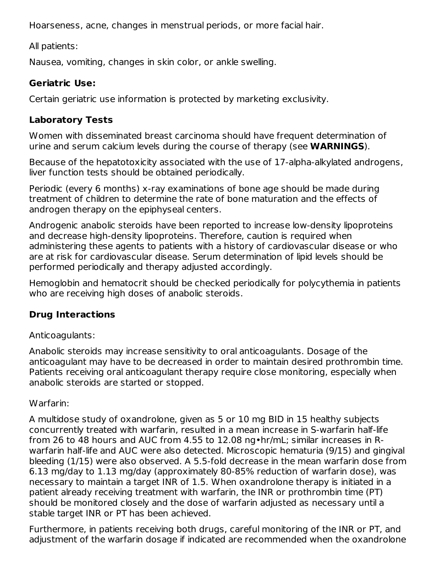Hoarseness, acne, changes in menstrual periods, or more facial hair.

All patients:

Nausea, vomiting, changes in skin color, or ankle swelling.

### **Geriatric Use:**

Certain geriatric use information is protected by marketing exclusivity.

# **Laboratory Tests**

Women with disseminated breast carcinoma should have frequent determination of urine and serum calcium levels during the course of therapy (see **WARNINGS**).

Because of the hepatotoxicity associated with the use of 17-alpha-alkylated androgens, liver function tests should be obtained periodically.

Periodic (every 6 months) x-ray examinations of bone age should be made during treatment of children to determine the rate of bone maturation and the effects of androgen therapy on the epiphyseal centers.

Androgenic anabolic steroids have been reported to increase low-density lipoproteins and decrease high-density lipoproteins. Therefore, caution is required when administering these agents to patients with a history of cardiovascular disease or who are at risk for cardiovascular disease. Serum determination of lipid levels should be performed periodically and therapy adjusted accordingly.

Hemoglobin and hematocrit should be checked periodically for polycythemia in patients who are receiving high doses of anabolic steroids.

# **Drug Interactions**

# Anticoagulants:

Anabolic steroids may increase sensitivity to oral anticoagulants. Dosage of the anticoagulant may have to be decreased in order to maintain desired prothrombin time. Patients receiving oral anticoagulant therapy require close monitoring, especially when anabolic steroids are started or stopped.

# Warfarin:

A multidose study of oxandrolone, given as 5 or 10 mg BID in 15 healthy subjects concurrently treated with warfarin, resulted in a mean increase in S-warfarin half-life from 26 to 48 hours and AUC from 4.55 to 12.08 ng•hr/mL; similar increases in Rwarfarin half-life and AUC were also detected. Microscopic hematuria (9/15) and gingival bleeding (1/15) were also observed. A 5.5-fold decrease in the mean warfarin dose from 6.13 mg/day to 1.13 mg/day (approximately 80-85% reduction of warfarin dose), was necessary to maintain a target INR of 1.5. When oxandrolone therapy is initiated in a patient already receiving treatment with warfarin, the INR or prothrombin time (PT) should be monitored closely and the dose of warfarin adjusted as necessary until a stable target INR or PT has been achieved.

Furthermore, in patients receiving both drugs, careful monitoring of the INR or PT, and adjustment of the warfarin dosage if indicated are recommended when the oxandrolone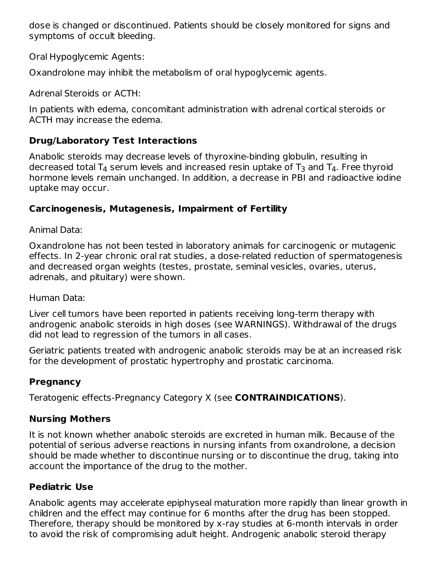dose is changed or discontinued. Patients should be closely monitored for signs and symptoms of occult bleeding.

Oral Hypoglycemic Agents:

Oxandrolone may inhibit the metabolism of oral hypoglycemic agents.

Adrenal Steroids or ACTH:

In patients with edema, concomitant administration with adrenal cortical steroids or ACTH may increase the edema.

## **Drug/Laboratory Test Interactions**

Anabolic steroids may decrease levels of thyroxine-binding globulin, resulting in decreased total T $_4$  serum levels and increased resin uptake of T $_3$  and T $_4$ . Free thyroid hormone levels remain unchanged. In addition, a decrease in PBI and radioactive iodine uptake may occur.

## **Carcinogenesis, Mutagenesis, Impairment of Fertility**

Animal Data:

Oxandrolone has not been tested in laboratory animals for carcinogenic or mutagenic effects. In 2-year chronic oral rat studies, a dose-related reduction of spermatogenesis and decreased organ weights (testes, prostate, seminal vesicles, ovaries, uterus, adrenals, and pituitary) were shown.

Human Data:

Liver cell tumors have been reported in patients receiving long-term therapy with androgenic anabolic steroids in high doses (see WARNINGS). Withdrawal of the drugs did not lead to regression of the tumors in all cases.

Geriatric patients treated with androgenic anabolic steroids may be at an increased risk for the development of prostatic hypertrophy and prostatic carcinoma.

## **Pregnancy**

Teratogenic effects-Pregnancy Category X (see **CONTRAINDICATIONS**).

## **Nursing Mothers**

It is not known whether anabolic steroids are excreted in human milk. Because of the potential of serious adverse reactions in nursing infants from oxandrolone, a decision should be made whether to discontinue nursing or to discontinue the drug, taking into account the importance of the drug to the mother.

## **Pediatric Use**

Anabolic agents may accelerate epiphyseal maturation more rapidly than linear growth in children and the effect may continue for 6 months after the drug has been stopped. Therefore, therapy should be monitored by x-ray studies at 6-month intervals in order to avoid the risk of compromising adult height. Androgenic anabolic steroid therapy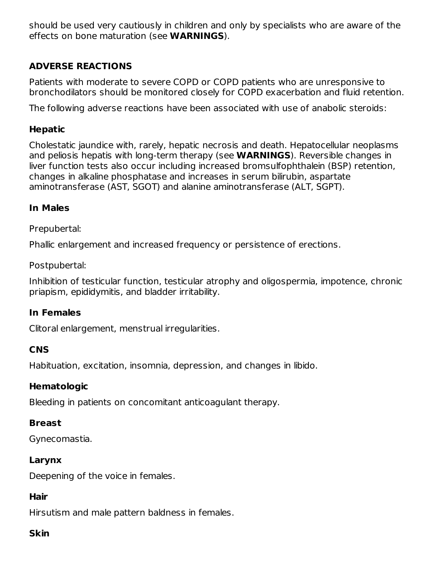should be used very cautiously in children and only by specialists who are aware of the effects on bone maturation (see **WARNINGS**).

#### **ADVERSE REACTIONS**

Patients with moderate to severe COPD or COPD patients who are unresponsive to bronchodilators should be monitored closely for COPD exacerbation and fluid retention.

The following adverse reactions have been associated with use of anabolic steroids:

### **Hepatic**

Cholestatic jaundice with, rarely, hepatic necrosis and death. Hepatocellular neoplasms and peliosis hepatis with long-term therapy (see **WARNINGS**). Reversible changes in liver function tests also occur including increased bromsulfophthalein (BSP) retention, changes in alkaline phosphatase and increases in serum bilirubin, aspartate aminotransferase (AST, SGOT) and alanine aminotransferase (ALT, SGPT).

### **In Males**

Prepubertal:

Phallic enlargement and increased frequency or persistence of erections.

Postpubertal:

Inhibition of testicular function, testicular atrophy and oligospermia, impotence, chronic priapism, epididymitis, and bladder irritability.

#### **In Females**

Clitoral enlargement, menstrual irregularities.

# **CNS**

Habituation, excitation, insomnia, depression, and changes in libido.

#### **Hematologic**

Bleeding in patients on concomitant anticoagulant therapy.

## **Breast**

Gynecomastia.

## **Larynx**

Deepening of the voice in females.

## **Hair**

Hirsutism and male pattern baldness in females.

#### **Skin**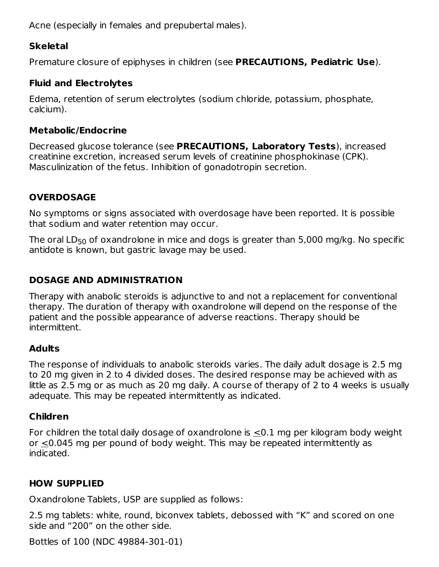Acne (especially in females and prepubertal males).

#### **Skeletal**

Premature closure of epiphyses in children (see **PRECAUTIONS, Pediatric Use**).

#### **Fluid and Electrolytes**

Edema, retention of serum electrolytes (sodium chloride, potassium, phosphate, calcium).

#### **Metabolic/Endocrine**

Decreased glucose tolerance (see **PRECAUTIONS, Laboratory Tests**), increased creatinine excretion, increased serum levels of creatinine phosphokinase (CPK). Masculinization of the fetus. Inhibition of gonadotropin secretion.

### **OVERDOSAGE**

No symptoms or signs associated with overdosage have been reported. It is possible that sodium and water retention may occur.

The oral  $\mathsf{LD}_{50}$  of oxandrolone in mice and dogs is greater than 5,000 mg/kg. No specific antidote is known, but gastric lavage may be used.

### **DOSAGE AND ADMINISTRATION**

Therapy with anabolic steroids is adjunctive to and not a replacement for conventional therapy. The duration of therapy with oxandrolone will depend on the response of the patient and the possible appearance of adverse reactions. Therapy should be intermittent.

#### **Adults**

The response of individuals to anabolic steroids varies. The daily adult dosage is 2.5 mg to 20 mg given in 2 to 4 divided doses. The desired response may be achieved with as little as 2.5 mg or as much as 20 mg daily. A course of therapy of 2 to 4 weeks is usually adequate. This may be repeated intermittently as indicated.

#### **Children**

For children the total daily dosage of oxandrolone is <0.1 mg per kilogram body weight or  $\leq$  0.045 mg per pound of body weight. This may be repeated intermittently as indicated.

#### **HOW SUPPLIED**

Oxandrolone Tablets, USP are supplied as follows:

2.5 mg tablets: white, round, biconvex tablets, debossed with "K" and scored on one side and "200" on the other side.

Bottles of 100 (NDC 49884-301-01)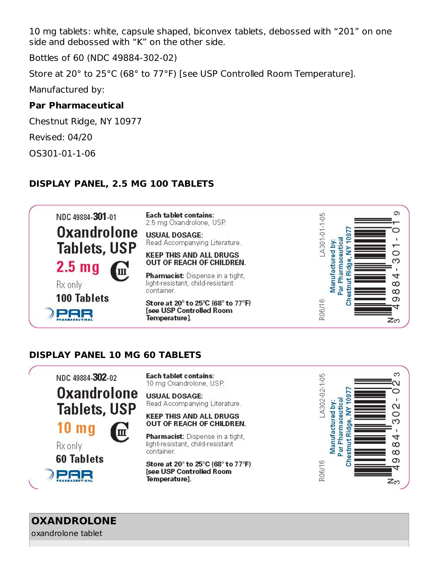10 mg tablets: white, capsule shaped, biconvex tablets, debossed with "201" on one side and debossed with "K" on the other side.

Bottles of 60 (NDC 49884-302-02)

Store at 20° to 25°C (68° to 77°F) [see USP Controlled Room Temperature].

Manufactured by:

#### **Par Pharmaceutical**

Chestnut Ridge, NY 10977

Revised: 04/20

OS301-01-1-06

#### **DISPLAY PANEL, 2.5 MG 100 TABLETS**



#### **DISPLAY PANEL 10 MG 60 TABLETS**



Each tablet contains: 10 mg Oxandrolone, USP.

**USUAL DOSAGE:** Read Accompanying Literature.

**KEEP THIS AND ALL DRUGS** OUT OF REACH OF CHILDREN.

Pharmacist: Dispense in a tight, light-resistant, child-resistant container.

Store at 20° to 25°C (68° to 77°F) [see USP Controlled Room Temperature].



**OXANDROLONE** oxandrolone tablet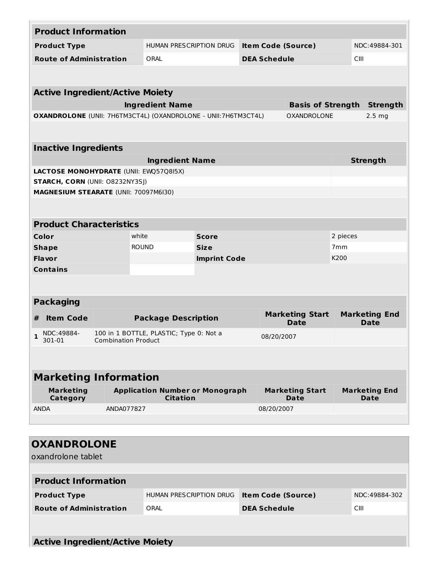| <b>Product Information</b>             |                                       |            |                                                                       |                                                                 |                                                |                           |                                      |                      |  |
|----------------------------------------|---------------------------------------|------------|-----------------------------------------------------------------------|-----------------------------------------------------------------|------------------------------------------------|---------------------------|--------------------------------------|----------------------|--|
| <b>Product Type</b>                    |                                       |            | HUMAN PRESCRIPTION DRUG                                               |                                                                 |                                                | <b>Item Code (Source)</b> |                                      | NDC:49884-301        |  |
| <b>Route of Administration</b>         |                                       |            | ORAL                                                                  | <b>DEA Schedule</b>                                             |                                                |                           |                                      | CIII                 |  |
|                                        |                                       |            |                                                                       |                                                                 |                                                |                           |                                      |                      |  |
|                                        |                                       |            |                                                                       |                                                                 |                                                |                           |                                      |                      |  |
| <b>Active Ingredient/Active Moiety</b> |                                       |            |                                                                       |                                                                 |                                                |                           |                                      |                      |  |
|                                        |                                       |            | <b>Ingredient Name</b>                                                |                                                                 | <b>Basis of Strength</b><br><b>OXANDROLONE</b> |                           | <b>Strength</b><br>2.5 <sub>mg</sub> |                      |  |
|                                        |                                       |            |                                                                       | OXANDROLONE (UNII: 7H6TM3CT4L) (OXANDROLONE - UNII: 7H6TM3CT4L) |                                                |                           |                                      |                      |  |
|                                        |                                       |            |                                                                       |                                                                 |                                                |                           |                                      |                      |  |
|                                        | <b>Inactive Ingredients</b>           |            |                                                                       |                                                                 |                                                |                           |                                      |                      |  |
|                                        |                                       |            | <b>Ingredient Name</b>                                                |                                                                 |                                                |                           | <b>Strength</b>                      |                      |  |
| LACTOSE MONOHYDRATE (UNII: EWQ57Q8I5X) |                                       |            |                                                                       |                                                                 |                                                |                           |                                      |                      |  |
|                                        | STARCH, CORN (UNII: 08232NY3SJ)       |            |                                                                       |                                                                 |                                                |                           |                                      |                      |  |
|                                        | MAGNESIUM STEARATE (UNII: 70097M6I30) |            |                                                                       |                                                                 |                                                |                           |                                      |                      |  |
|                                        |                                       |            |                                                                       |                                                                 |                                                |                           |                                      |                      |  |
| <b>Product Characteristics</b>         |                                       |            |                                                                       |                                                                 |                                                |                           |                                      |                      |  |
| Color                                  |                                       |            | white<br><b>Score</b>                                                 |                                                                 |                                                |                           | 2 pieces                             |                      |  |
| <b>Shape</b>                           |                                       |            | <b>ROUND</b>                                                          | <b>Size</b>                                                     |                                                |                           | 7 <sub>mm</sub>                      |                      |  |
| <b>Flavor</b>                          |                                       |            |                                                                       | <b>Imprint Code</b>                                             |                                                |                           | K200                                 |                      |  |
| <b>Contains</b>                        |                                       |            |                                                                       |                                                                 |                                                |                           |                                      |                      |  |
|                                        |                                       |            |                                                                       |                                                                 |                                                |                           |                                      |                      |  |
|                                        |                                       |            |                                                                       |                                                                 |                                                |                           |                                      |                      |  |
| <b>Packaging</b>                       |                                       |            |                                                                       |                                                                 |                                                |                           |                                      |                      |  |
| #                                      | <b>Item Code</b>                      |            | <b>Package Description</b>                                            |                                                                 | <b>Marketing Start</b><br><b>Date</b>          |                           | <b>Marketing End</b><br><b>Date</b>  |                      |  |
| $\mathbf{1}$                           | NDC:49884-<br>301-01                  |            | 100 in 1 BOTTLE, PLASTIC; Type 0: Not a<br><b>Combination Product</b> |                                                                 |                                                | 08/20/2007                |                                      |                      |  |
|                                        |                                       |            |                                                                       |                                                                 |                                                |                           |                                      |                      |  |
|                                        |                                       |            |                                                                       |                                                                 |                                                |                           |                                      |                      |  |
| <b>Marketing Information</b>           |                                       |            |                                                                       |                                                                 |                                                |                           |                                      |                      |  |
| <b>Marketing</b>                       |                                       |            | <b>Application Number or Monograph</b>                                |                                                                 |                                                | <b>Marketing Start</b>    |                                      | <b>Marketing End</b> |  |
| Category                               |                                       |            | <b>Citation</b>                                                       |                                                                 | <b>Date</b>                                    |                           | <b>Date</b>                          |                      |  |
| <b>ANDA</b>                            |                                       | ANDA077827 |                                                                       |                                                                 | 08/20/2007                                     |                           |                                      |                      |  |
|                                        |                                       |            |                                                                       |                                                                 |                                                |                           |                                      |                      |  |
|                                        |                                       |            |                                                                       |                                                                 |                                                |                           |                                      |                      |  |
| <b>OXANDROLONE</b>                     |                                       |            |                                                                       |                                                                 |                                                |                           |                                      |                      |  |

oxandrolone tablet

| <b>Product Information</b>     |                         |                           |               |  |  |  |  |
|--------------------------------|-------------------------|---------------------------|---------------|--|--|--|--|
| <b>Product Type</b>            | HUMAN PRESCRIPTION DRUG | <b>Item Code (Source)</b> | NDC:49884-302 |  |  |  |  |
| <b>Route of Administration</b> | ORAL                    | <b>DEA Schedule</b>       | CIII          |  |  |  |  |
|                                |                         |                           |               |  |  |  |  |

**Active Ingredient/Active Moiety**